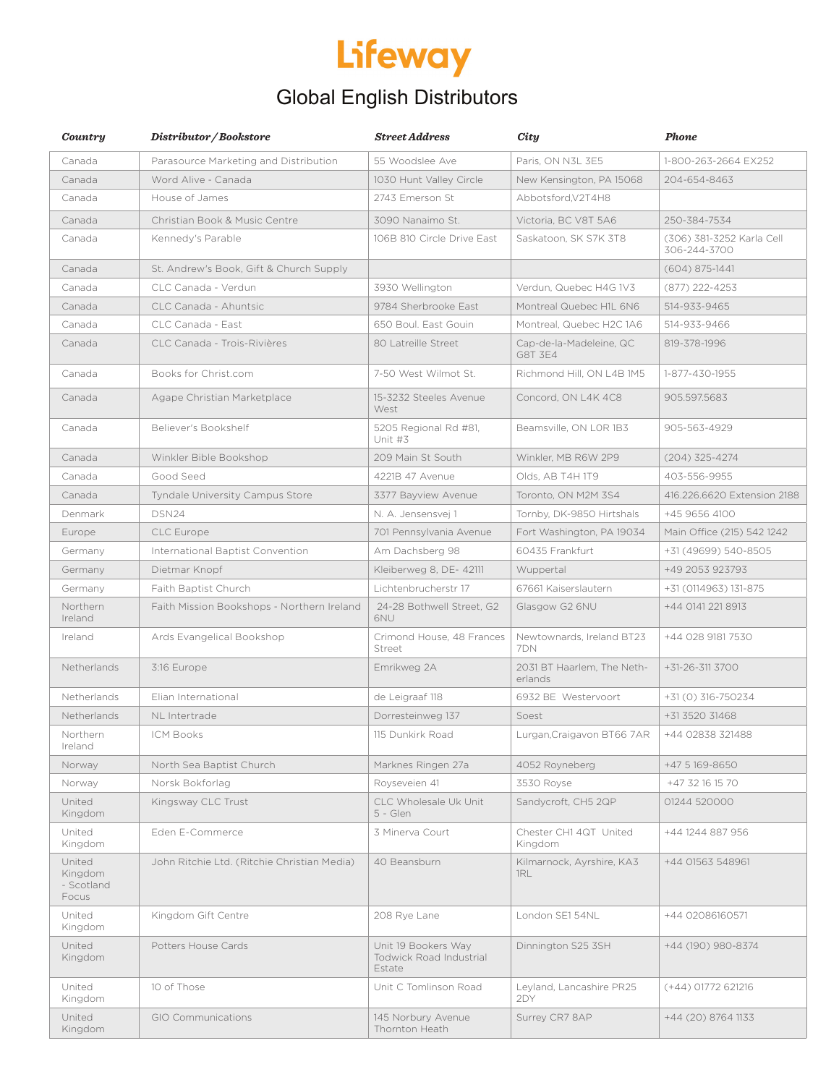# Lifeway

#### Global English Distributors

| Country                                  | Distributor / Bookstore                     | <b>Street Address</b>                                    | City                                  | <b>Phone</b>                              |
|------------------------------------------|---------------------------------------------|----------------------------------------------------------|---------------------------------------|-------------------------------------------|
| Canada                                   | Parasource Marketing and Distribution       | 55 Woodslee Ave                                          | Paris, ON N3L 3E5                     | 1-800-263-2664 EX252                      |
| Canada                                   | Word Alive - Canada                         | 1030 Hunt Valley Circle                                  | New Kensington, PA 15068              | 204-654-8463                              |
| Canada                                   | House of James                              | 2743 Emerson St                                          | Abbotsford, V2T4H8                    |                                           |
| Canada                                   | Christian Book & Music Centre               | 3090 Nanaimo St.                                         | Victoria, BC V8T 5A6                  | 250-384-7534                              |
| Canada                                   | Kennedy's Parable                           | 106B 810 Circle Drive East                               | Saskatoon, SK S7K 3T8                 | (306) 381-3252 Karla Cell<br>306-244-3700 |
| Canada                                   | St. Andrew's Book, Gift & Church Supply     |                                                          |                                       | $(604) 875 - 1441$                        |
| Canada                                   | CLC Canada - Verdun                         | 3930 Wellington                                          | Verdun, Quebec H4G 1V3                | (877) 222-4253                            |
| Canada                                   | CLC Canada - Ahuntsic                       | 9784 Sherbrooke East                                     | Montreal Quebec H1L 6N6               | 514-933-9465                              |
| Canada                                   | CLC Canada - East                           | 650 Boul, East Gouin                                     | Montreal, Quebec H2C 1A6              | 514-933-9466                              |
| Canada                                   | CLC Canada - Trois-Rivières                 | 80 Latreille Street                                      | Cap-de-la-Madeleine, QC<br>G8T 3E4    | 819-378-1996                              |
| Canada                                   | Books for Christ.com                        | 7-50 West Wilmot St.                                     | Richmond Hill, ON L4B 1M5             | 1-877-430-1955                            |
| Canada                                   | Agape Christian Marketplace                 | 15-3232 Steeles Avenue<br>West                           | Concord, ON L4K 4C8                   | 905.597.5683                              |
| Canada                                   | Believer's Bookshelf                        | 5205 Regional Rd #81,<br>Unit #3                         | Beamsville, ON LOR 1B3                | 905-563-4929                              |
| Canada                                   | Winkler Bible Bookshop                      | 209 Main St South                                        | Winkler, MB R6W 2P9                   | $(204)$ 325-4274                          |
| Canada                                   | Good Seed                                   | 4221B 47 Avenue                                          | Olds, AB T4H 1T9                      | 403-556-9955                              |
| Canada                                   | <b>Tyndale University Campus Store</b>      | 3377 Bayview Avenue                                      | Toronto, ON M2M 3S4                   | 416.226.6620 Extension 2188               |
| Denmark                                  | DSN24                                       | N. A. Jensensvej 1                                       | Tornby, DK-9850 Hirtshals             | +45 9656 4100                             |
| Europe                                   | <b>CLC</b> Europe                           | 701 Pennsylvania Avenue                                  | Fort Washington, PA 19034             | Main Office (215) 542 1242                |
| Germany                                  | International Baptist Convention            | Am Dachsberg 98                                          | 60435 Frankfurt                       | +31 (49699) 540-8505                      |
| Germany                                  | Dietmar Knopf                               | Kleiberweg 8, DE- 42111                                  | Wuppertal                             | +49 2053 923793                           |
| Germany                                  | Faith Baptist Church                        | Lichtenbrucherstr 17                                     | 67661 Kaiserslautern                  | +31 (0114963) 131-875                     |
| Northern<br>Ireland                      | Faith Mission Bookshops - Northern Ireland  | 24-28 Bothwell Street, G2<br>6NU                         | Glasgow G2 6NU                        | +44 0141 221 8913                         |
| Ireland                                  | Ards Evangelical Bookshop                   | Crimond House, 48 Frances<br>Street                      | Newtownards, Ireland BT23<br>7DN      | +44 028 9181 7530                         |
| Netherlands                              | 3:16 Europe                                 | Emrikweg 2A                                              | 2031 BT Haarlem, The Neth-<br>erlands | $+31-26-3113700$                          |
| Netherlands                              | Elian International                         | de Leigraaf 118                                          | 6932 BE Westervoort                   | +31 (0) 316-750234                        |
| Netherlands                              | NL Intertrade                               | Dorresteinweg 137                                        | Soest                                 | +31 3520 31468                            |
| Northern<br>Ireland                      | <b>ICM Books</b>                            | 115 Dunkirk Road                                         | Lurgan, Craigavon BT66 7AR            | +44 02838 321488                          |
| Norway                                   | North Sea Baptist Church                    | Marknes Ringen 27a                                       | 4052 Royneberg                        | +47 5 169-8650                            |
| Norway                                   | Norsk Bokforlag                             | Royseveien 41                                            | 3530 Royse                            | +47 32 16 15 70                           |
| United<br>Kingdom                        | Kingsway CLC Trust                          | CLC Wholesale Uk Unit<br>5 - Glen                        | Sandycroft, CH5 2QP                   | 01244 520000                              |
| United<br>Kingdom                        | Eden E-Commerce                             | 3 Minerva Court                                          | Chester CH1 4QT United<br>Kingdom     | +44 1244 887 956                          |
| United<br>Kingdom<br>- Scotland<br>Focus | John Ritchie Ltd. (Ritchie Christian Media) | 40 Beansburn                                             | Kilmarnock, Ayrshire, KA3<br>1RL      | +44 01563 548961                          |
| United<br>Kingdom                        | Kingdom Gift Centre                         | 208 Rye Lane                                             | London SE1 54NL                       | +44 02086160571                           |
| United<br>Kingdom                        | Potters House Cards                         | Unit 19 Bookers Way<br>Todwick Road Industrial<br>Estate | Dinnington S25 3SH                    | +44 (190) 980-8374                        |
| United<br>Kingdom                        | 10 of Those                                 | Unit C Tomlinson Road                                    | Leyland, Lancashire PR25<br>2DY       | (+44) 01772 621216                        |
| United<br>Kingdom                        | <b>GIO Communications</b>                   | 145 Norbury Avenue<br>Thornton Heath                     | Surrey CR7 8AP                        | +44 (20) 8764 1133                        |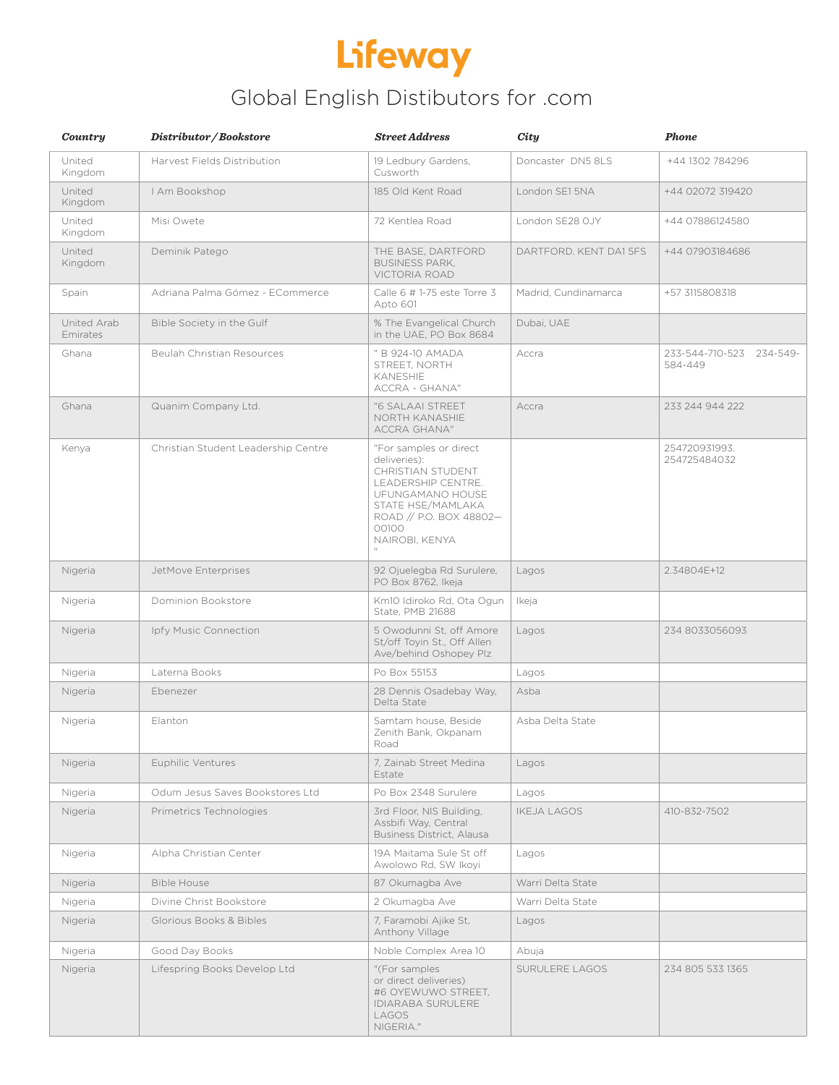

### Global English Distibutors for .com

| Country                 | Distributor/Bookstore               | <b>Street Address</b>                                                                                                                                                                   | City                   | Phone                               |
|-------------------------|-------------------------------------|-----------------------------------------------------------------------------------------------------------------------------------------------------------------------------------------|------------------------|-------------------------------------|
| United<br>Kingdom       | Harvest Fields Distribution         | 19 Ledbury Gardens,<br>Cusworth                                                                                                                                                         | Doncaster DN5 8LS      | +44 1302 784296                     |
| United<br>Kingdom       | I Am Bookshop                       | 185 Old Kent Road                                                                                                                                                                       | London SE1 5NA         | +44 02072 319420                    |
| United<br>Kingdom       | Misi Owete                          | 72 Kentlea Road                                                                                                                                                                         | London SE28 OJY        | +44 07886124580                     |
| United<br>Kingdom       | Deminik Patego                      | THE BASE, DARTFORD<br><b>BUSINESS PARK,</b><br>VICTORIA ROAD                                                                                                                            | DARTFORD. KENT DA1 5FS | +44 07903184686                     |
| Spain                   | Adriana Palma Gómez - ECommerce     | Calle 6 # 1-75 este Torre 3<br>Apto 601                                                                                                                                                 | Madrid, Cundinamarca   | +57 3115808318                      |
| United Arab<br>Emirates | Bible Society in the Gulf           | % The Evangelical Church<br>in the UAE, PO Box 8684                                                                                                                                     | Dubai, UAE             |                                     |
| Ghana                   | <b>Beulah Christian Resources</b>   | " B 924-10 AMADA<br>STREET, NORTH<br>KANESHIE<br>ACCRA - GHANA"                                                                                                                         | Accra                  | 233-544-710-523 234-549-<br>584-449 |
| Ghana                   | Quanim Company Ltd.                 | "6 SALAAI STREET<br>NORTH KANASHIE<br><b>ACCRA GHANA"</b>                                                                                                                               | Accra                  | 233 244 944 222                     |
| Kenya                   | Christian Student Leadership Centre | "For samples or direct<br>deliveries):<br>CHRISTIAN STUDENT<br>LEADERSHIP CENTRE.<br><b>UFUNGAMANO HOUSE</b><br>STATE HSE/MAMLAKA<br>ROAD // P.O. BOX 48802-<br>00100<br>NAIROBI, KENYA |                        | 254720931993.<br>254725484032       |
| Nigeria                 | JetMove Enterprises                 | 92 Ojuelegba Rd Surulere,<br>PO Box 8762, Ikeja                                                                                                                                         | Lagos                  | 2.34804E+12                         |
| Nigeria                 | Dominion Bookstore                  | Km10 Idiroko Rd, Ota Ogun<br>State, PMB 21688                                                                                                                                           | Ikeja                  |                                     |
| Nigeria                 | Ipfy Music Connection               | 5 Owodunni St, off Amore<br>St/off Toyin St., Off Allen<br>Ave/behind Oshopey Plz                                                                                                       | Lagos                  | 234 8033056093                      |
| Nigeria                 | Laterna Books                       | Po Box 55153                                                                                                                                                                            | Lagos                  |                                     |
| Nigeria                 | Ebenezer                            | 28 Dennis Osadebay Way,<br>Delta State                                                                                                                                                  | Asba                   |                                     |
| Nigeria                 | Elanton                             | Samtam house. Beside<br>Zenith Bank, Okpanam<br>Road                                                                                                                                    | Asba Delta State       |                                     |
| Nigeria                 | Euphilic Ventures                   | 7, Zainab Street Medina<br>Estate                                                                                                                                                       | Lagos                  |                                     |
| Nigeria                 | Odum Jesus Saves Bookstores Ltd     | Po Box 2348 Surulere                                                                                                                                                                    | Lagos                  |                                     |
| Nigeria                 | Primetrics Technologies             | 3rd Floor, NIS Building,<br>Assbifi Way, Central<br>Business District, Alausa                                                                                                           | <b>IKEJA LAGOS</b>     | 410-832-7502                        |
| Nigeria                 | Alpha Christian Center              | 19A Maitama Sule St off<br>Awolowo Rd, SW Ikoyi                                                                                                                                         | Lagos                  |                                     |
| Nigeria                 | <b>Bible House</b>                  | 87 Okumagba Ave                                                                                                                                                                         | Warri Delta State      |                                     |
| Nigeria                 | Divine Christ Bookstore             | 2 Okumagba Ave                                                                                                                                                                          | Warri Delta State      |                                     |
| Nigeria                 | Glorious Books & Bibles             | 7, Faramobi Ajike St,<br>Anthony Village                                                                                                                                                | Lagos                  |                                     |
| Nigeria                 | Good Day Books                      | Noble Complex Area 10                                                                                                                                                                   | Abuja                  |                                     |
| Nigeria                 | Lifespring Books Develop Ltd        | "(For samples<br>or direct deliveries)<br>#6 OYEWUWO STREET,<br><b>IDIARABA SURULERE</b><br>LAGOS<br>NIGERIA."                                                                          | SURULERE LAGOS         | 234 805 533 1365                    |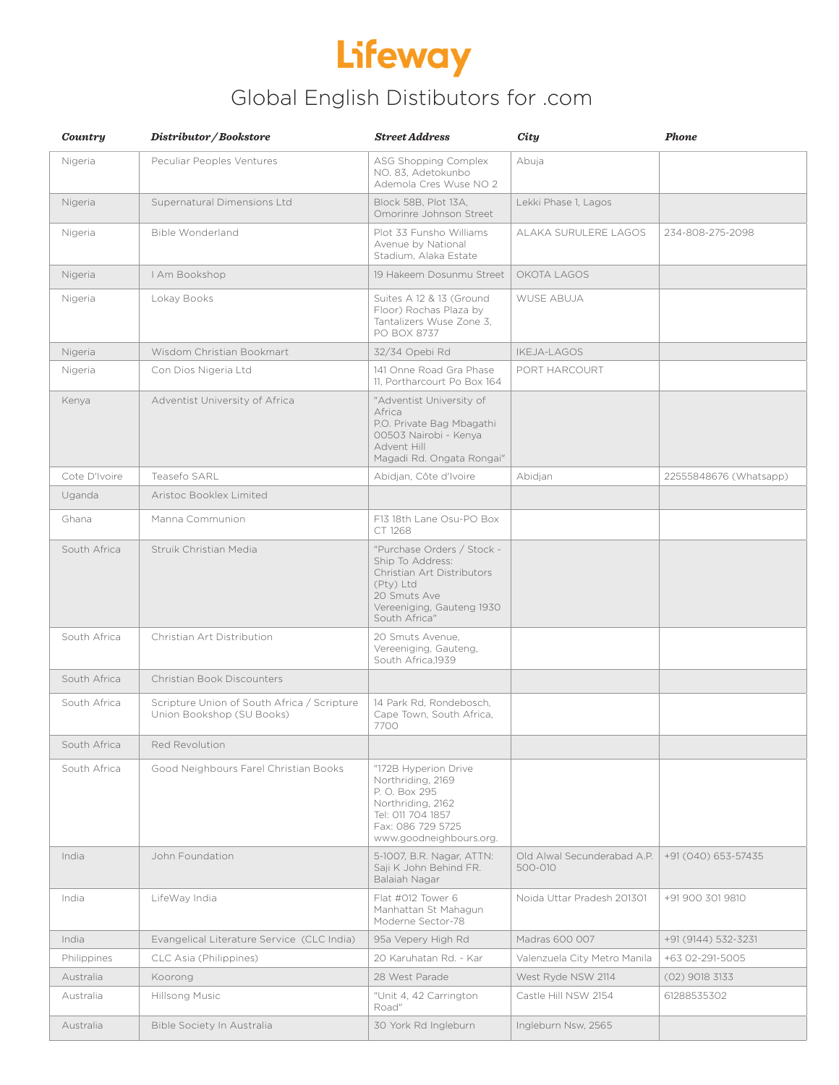## Lifeway

### Global English Distibutors for .com

| Country       | Distributor/Bookstore                                                    | <b>Street Address</b>                                                                                                                                   | City                                   | <b>Phone</b>           |
|---------------|--------------------------------------------------------------------------|---------------------------------------------------------------------------------------------------------------------------------------------------------|----------------------------------------|------------------------|
| Nigeria       | Peculiar Peoples Ventures                                                | ASG Shopping Complex<br>NO. 83, Adetokunbo<br>Ademola Cres Wuse NO 2                                                                                    | Abuja                                  |                        |
| Nigeria       | Supernatural Dimensions Ltd                                              | Block 58B, Plot 13A,<br>Omorinre Johnson Street                                                                                                         | Lekki Phase 1, Lagos                   |                        |
| Nigeria       | Bible Wonderland                                                         | Plot 33 Funsho Williams<br>Avenue by National<br>Stadium, Alaka Estate                                                                                  | ALAKA SURULERE LAGOS                   | 234-808-275-2098       |
| Nigeria       | I Am Bookshop                                                            | 19 Hakeem Dosunmu Street                                                                                                                                | OKOTA LAGOS                            |                        |
| Nigeria       | Lokay Books                                                              | Suites A 12 & 13 (Ground<br>Floor) Rochas Plaza by<br>Tantalizers Wuse Zone 3,<br>PO BOX 8737                                                           | <b>WUSE ABUJA</b>                      |                        |
| Nigeria       | Wisdom Christian Bookmart                                                | 32/34 Opebi Rd                                                                                                                                          | <b>IKEJA-LAGOS</b>                     |                        |
| Nigeria       | Con Dios Nigeria Ltd                                                     | 141 Onne Road Gra Phase<br>11, Portharcourt Po Box 164                                                                                                  | PORT HARCOURT                          |                        |
| Kenya         | Adventist University of Africa                                           | "Adventist University of<br>Africa<br>P.O. Private Bag Mbagathi<br>00503 Nairobi - Kenya<br>Advent Hill<br>Magadi Rd. Ongata Rongai"                    |                                        |                        |
| Cote D'Ivoire | Teasefo SARL                                                             | Abidjan, Côte d'Ivoire                                                                                                                                  | Abidjan                                | 22555848676 (Whatsapp) |
| Uganda        | Aristoc Booklex Limited                                                  |                                                                                                                                                         |                                        |                        |
| Ghana         | Manna Communion                                                          | F13 18th Lane Osu-PO Box<br>CT 1268                                                                                                                     |                                        |                        |
| South Africa  | Struik Christian Media                                                   | "Purchase Orders / Stock -<br>Ship To Address:<br>Christian Art Distributors<br>(Pty) Ltd<br>20 Smuts Ave<br>Vereeniging, Gauteng 1930<br>South Africa" |                                        |                        |
| South Africa  | Christian Art Distribution                                               | 20 Smuts Avenue,<br>Vereeniging, Gauteng,<br>South Africa.1939                                                                                          |                                        |                        |
| South Africa  | Christian Book Discounters                                               |                                                                                                                                                         |                                        |                        |
| South Africa  | Scripture Union of South Africa / Scripture<br>Union Bookshop (SU Books) | 14 Park Rd, Rondebosch,<br>Cape Town, South Africa,<br>7700                                                                                             |                                        |                        |
| South Africa  | Red Revolution                                                           |                                                                                                                                                         |                                        |                        |
| South Africa  | Good Neighbours Farel Christian Books                                    | "172B Hyperion Drive<br>Northriding, 2169<br>P. O. Box 295<br>Northriding, 2162<br>Tel: 011 704 1857<br>Fax: 086 729 5725<br>www.goodneighbours.org.    |                                        |                        |
| India         | John Foundation                                                          | 5-1007, B.R. Nagar, ATTN:<br>Saji K John Behind FR.<br>Balaiah Nagar                                                                                    | Old Alwal Secunderabad A.P.<br>500-010 | +91 (040) 653-57435    |
| India         | LifeWay India                                                            | Flat #012 Tower 6<br>Manhattan St Mahagun<br>Moderne Sector-78                                                                                          | Noida Uttar Pradesh 201301             | +91 900 301 9810       |
| India         | Evangelical Literature Service (CLC India)                               | 95a Vepery High Rd                                                                                                                                      | Madras 600 007                         | +91 (9144) 532-3231    |
| Philippines   | CLC Asia (Philippines)                                                   | 20 Karuhatan Rd. - Kar                                                                                                                                  | Valenzuela City Metro Manila           | +63 02-291-5005        |
| Australia     | Koorong                                                                  | 28 West Parade                                                                                                                                          | West Ryde NSW 2114                     | $(02)$ 9018 3133       |
| Australia     | Hillsong Music                                                           | "Unit 4, 42 Carrington<br>Road"                                                                                                                         | Castle Hill NSW 2154                   | 61288535302            |
| Australia     | Bible Society In Australia                                               | 30 York Rd Ingleburn                                                                                                                                    | Ingleburn Nsw, 2565                    |                        |